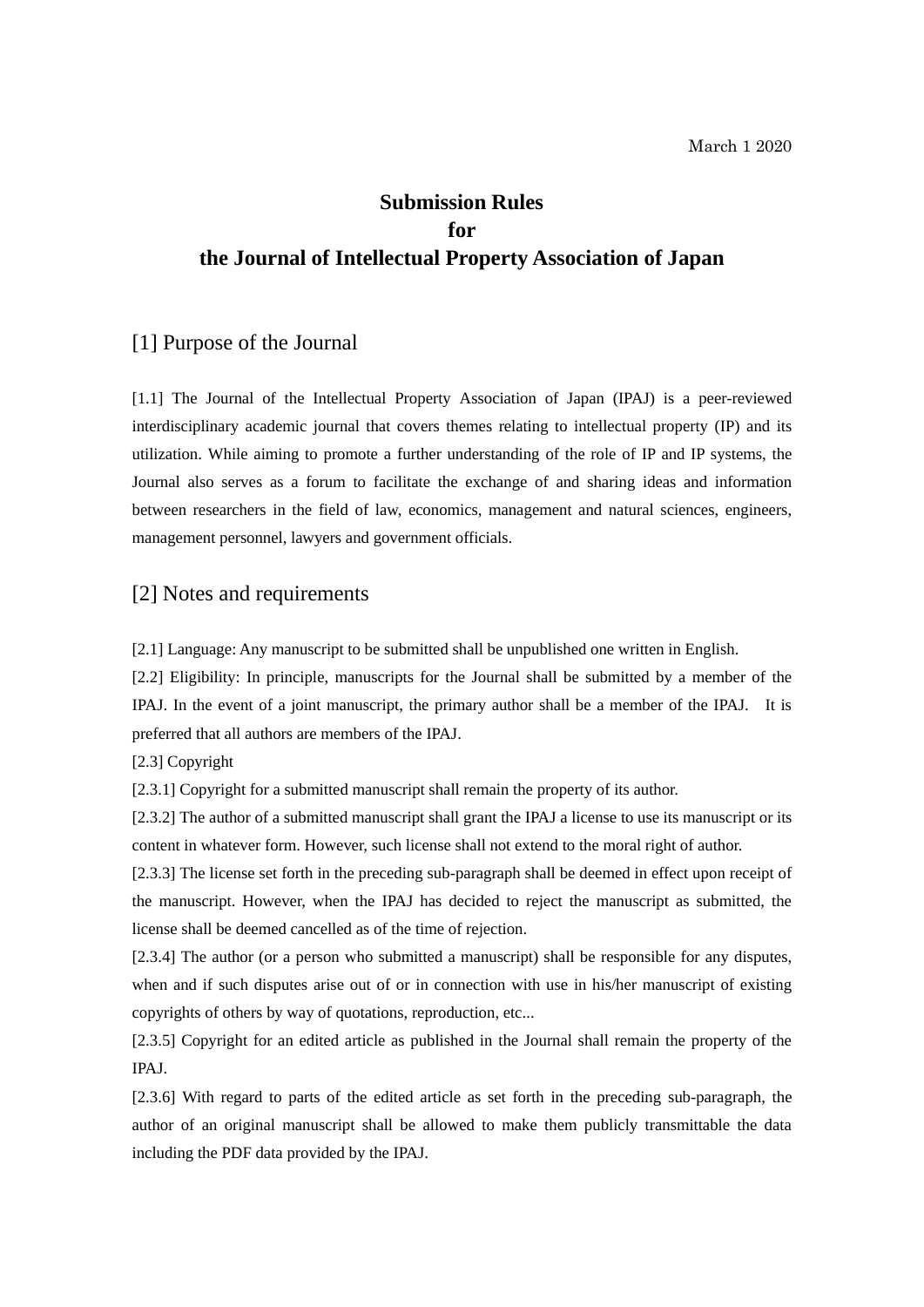# **Submission Rules for the Journal of Intellectual Property Association of Japan**

# [1] Purpose of the Journal

[1.1] The Journal of the Intellectual Property Association of Japan (IPAJ) is a peer-reviewed interdisciplinary academic journal that covers themes relating to intellectual property (IP) and its utilization. While aiming to promote a further understanding of the role of IP and IP systems, the Journal also serves as a forum to facilitate the exchange of and sharing ideas and information between researchers in the field of law, economics, management and natural sciences, engineers, management personnel, lawyers and government officials.

## [2] Notes and requirements

[2.1] Language: Any manuscript to be submitted shall be unpublished one written in English.

[2.2] Eligibility: In principle, manuscripts for the Journal shall be submitted by a member of the IPAJ. In the event of a joint manuscript, the primary author shall be a member of the IPAJ. It is preferred that all authors are members of the IPAJ.

[2.3] Copyright

[2.3.1] Copyright for a submitted manuscript shall remain the property of its author.

[2.3.2] The author of a submitted manuscript shall grant the IPAJ a license to use its manuscript or its content in whatever form. However, such license shall not extend to the moral right of author.

[2.3.3] The license set forth in the preceding sub-paragraph shall be deemed in effect upon receipt of the manuscript. However, when the IPAJ has decided to reject the manuscript as submitted, the license shall be deemed cancelled as of the time of rejection.

[2.3.4] The author (or a person who submitted a manuscript) shall be responsible for any disputes, when and if such disputes arise out of or in connection with use in his/her manuscript of existing copyrights of others by way of quotations, reproduction, etc...

[2.3.5] Copyright for an edited article as published in the Journal shall remain the property of the IPAJ.

[2.3.6] With regard to parts of the edited article as set forth in the preceding sub-paragraph, the author of an original manuscript shall be allowed to make them publicly transmittable the data including the PDF data provided by the IPAJ.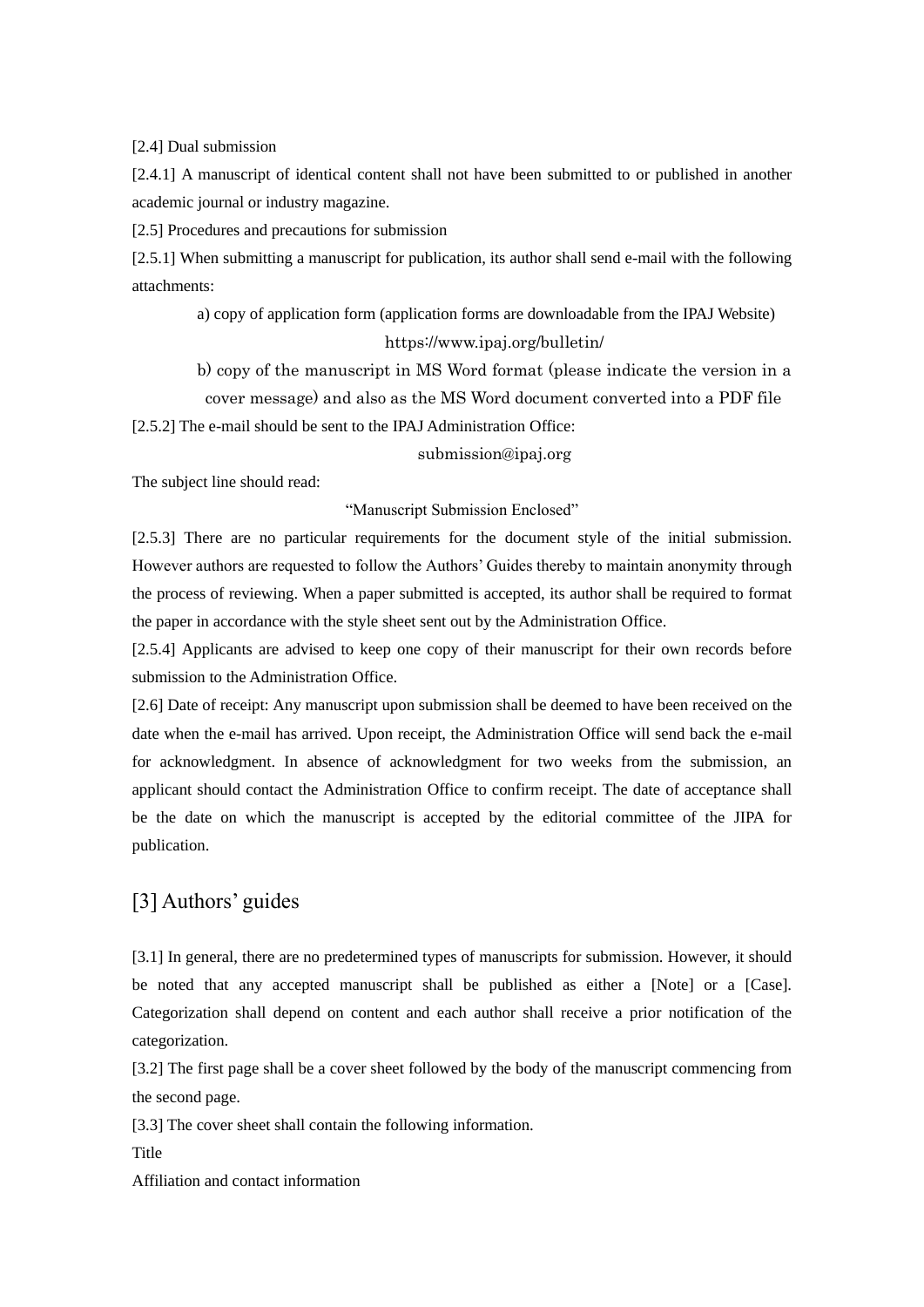[2.4] Dual submission

[2.4.1] A manuscript of identical content shall not have been submitted to or published in another academic journal or industry magazine.

[2.5] Procedures and precautions for submission

[2.5.1] When submitting a manuscript for publication, its author shall send e-mail with the following attachments:

a) copy of application form (application forms are downloadable from the IPAJ Website) https://www.ipaj.org/bulletin/

b) copy of the manuscript in MS Word format (please indicate the version in a cover message) and also as the MS Word document converted into a PDF file

[2.5.2] The e-mail should be sent to the IPAJ Administration Office:

[submission@ipaj.org](mailto:submission@ipaj.org)

The subject line should read:

"Manuscript Submission Enclosed"

[2.5.3] There are no particular requirements for the document style of the initial submission. However authors are requested to follow the Authors' Guides thereby to maintain anonymity through the process of reviewing. When a paper submitted is accepted, its author shall be required to format the paper in accordance with the style sheet sent out by the Administration Office.

[2.5.4] Applicants are advised to keep one copy of their manuscript for their own records before submission to the Administration Office.

[2.6] Date of receipt: Any manuscript upon submission shall be deemed to have been received on the date when the e-mail has arrived. Upon receipt, the Administration Office will send back the e-mail for acknowledgment. In absence of acknowledgment for two weeks from the submission, an applicant should contact the Administration Office to confirm receipt. The date of acceptance shall be the date on which the manuscript is accepted by the editorial committee of the JIPA for publication.

# [3] Authors' guides

[3.1] In general, there are no predetermined types of manuscripts for submission. However, it should be noted that any accepted manuscript shall be published as either a [Note] or a [Case]. Categorization shall depend on content and each author shall receive a prior notification of the categorization.

[3.2] The first page shall be a cover sheet followed by the body of the manuscript commencing from the second page.

[3.3] The cover sheet shall contain the following information.

Title

Affiliation and contact information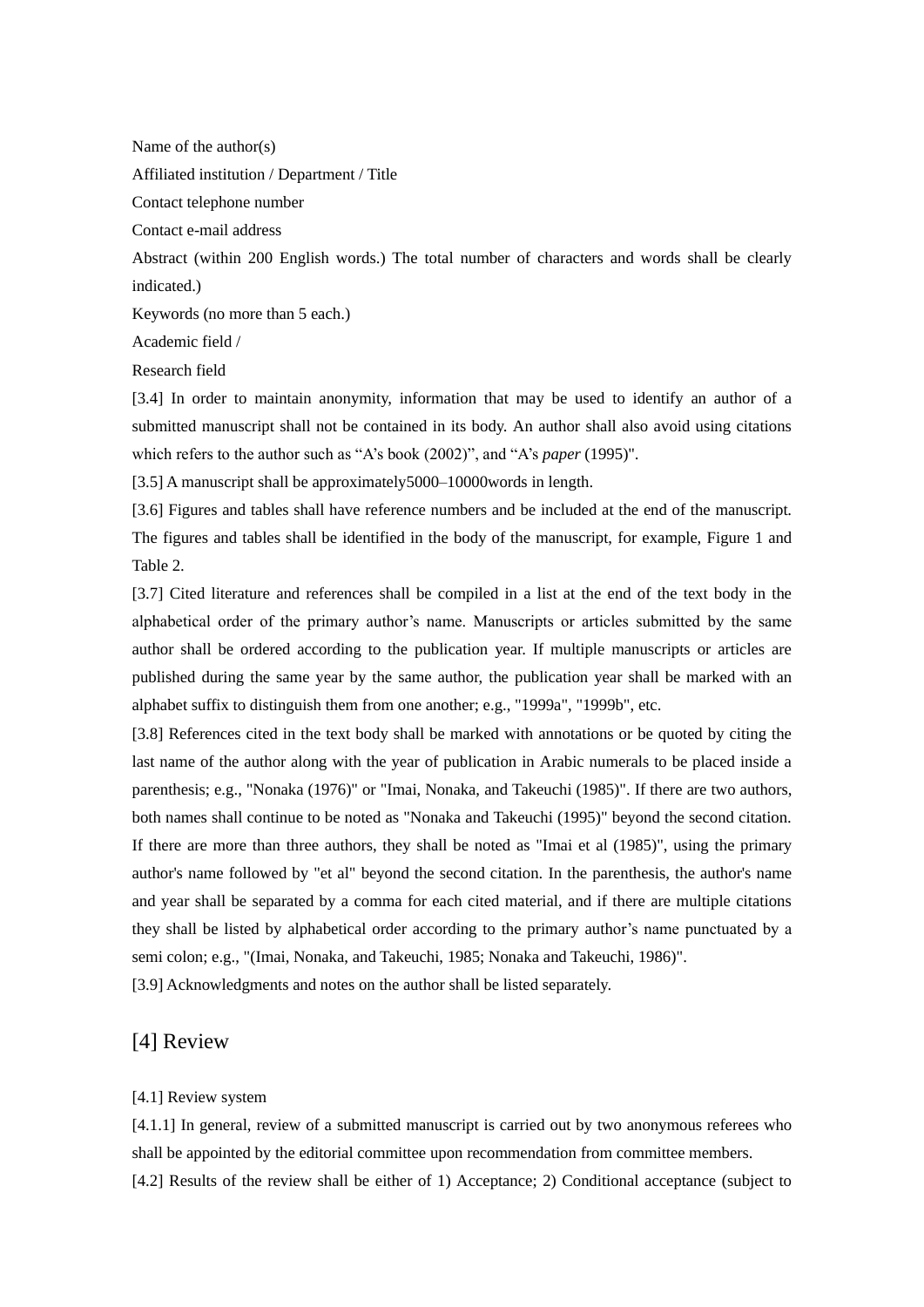Name of the author(s)

Affiliated institution / Department / Title

Contact telephone number

Contact e-mail address

Abstract (within 200 English words.) The total number of characters and words shall be clearly indicated.)

Keywords (no more than 5 each.)

Academic field /

Research field

[3.4] In order to maintain anonymity, information that may be used to identify an author of a submitted manuscript shall not be contained in its body. An author shall also avoid using citations which refers to the author such as "A's book (2002)", and "A's *paper* (1995)".

[3.5] A manuscript shall be approximately 5000–10000 words in length.

[3.6] Figures and tables shall have reference numbers and be included at the end of the manuscript. The figures and tables shall be identified in the body of the manuscript, for example, Figure 1 and Table 2.

[3.7] Cited literature and references shall be compiled in a list at the end of the text body in the alphabetical order of the primary author's name. Manuscripts or articles submitted by the same author shall be ordered according to the publication year. If multiple manuscripts or articles are published during the same year by the same author, the publication year shall be marked with an alphabet suffix to distinguish them from one another; e.g., "1999a", "1999b", etc.

[3.8] References cited in the text body shall be marked with annotations or be quoted by citing the last name of the author along with the year of publication in Arabic numerals to be placed inside a parenthesis; e.g., "Nonaka (1976)" or "Imai, Nonaka, and Takeuchi (1985)". If there are two authors, both names shall continue to be noted as "Nonaka and Takeuchi (1995)" beyond the second citation. If there are more than three authors, they shall be noted as "Imai et al (1985)", using the primary author's name followed by "et al" beyond the second citation. In the parenthesis, the author's name and year shall be separated by a comma for each cited material, and if there are multiple citations they shall be listed by alphabetical order according to the primary author's name punctuated by a semi colon; e.g., "(Imai, Nonaka, and Takeuchi, 1985; Nonaka and Takeuchi, 1986)".

[3.9] Acknowledgments and notes on the author shall be listed separately.

### [4] Review

#### [4.1] Review system

[4.1.1] In general, review of a submitted manuscript is carried out by two anonymous referees who shall be appointed by the editorial committee upon recommendation from committee members. [4.2] Results of the review shall be either of 1) Acceptance; 2) Conditional acceptance (subject to